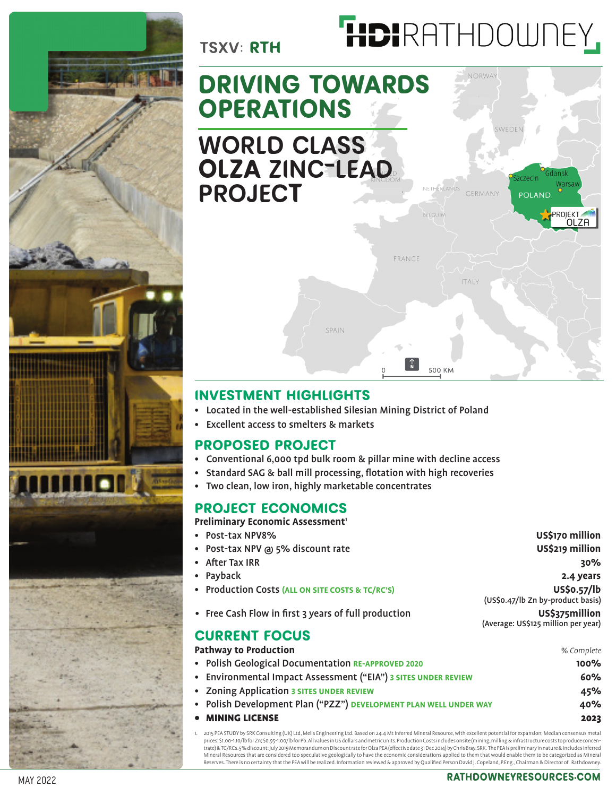

# HDIRATHDOWNEY,

**POLAND** 

ROIEKT OLZA

## **DRIVING TOWARDS OPERATIONS** WORLD CLASS **OLZA** ZINC-LEAD PROJEC**T**

## FRANCE **TALY** SPAIN 500 KM

## **INVESTMENT HIGHLIGHTS**

- Located in the well-established Silesian Mining District of Poland
- Excellent access to smelters & markets

## **PROPOSED PROJECT**

- Conventional 6,000 tpd bulk room & pillar mine with decline access
- Standard SAG & ball mill processing, flotation with high recoveries
- Two clean, low iron, highly marketable concentrates

## **PROJECT ECONOMICS**

#### **Preliminary Economic Assessment<sup>1</sup>**

• Post-tax NPV8% **US\$170 million**

TSXV: **RTH**

- Post-tax NPV @ 5% discount rate **US\$219 million**
- After Tax IRR **30%** • Payback **2.4 years** • Production Costs **(ALL ON SITE COSTS & TC/RC'S) US\$0.57/lb** (US\$0.47/lb Zn by-product basis)
- Free Cash Flow in first 3 years of full production **US\$375million** (Average: US\$125 million per year)

## **CURRENT FOCUS**

#### **Pathway to Production** *% Complete*

• Polish Geological Documentation **RE-APPROVED 2020 100%** 

| • Environmental Impact Assessment ("EIA") 3 SITES UNDER REVIEW | 60% |
|----------------------------------------------------------------|-----|
| • Zoning Application 3 SITES UNDER REVIEW                      | 45% |

- Polish Development Plan ("PZZ") **DEVELOPMENT PLAN WELL UNDER WAY 40%**
	- MINING LICENSE 2023
- 1. 2015 PEA STUDY by SRK Consulting (UK) Ltd, Melis Engineering Ltd. Based on 24.4 Mt Inferred Mineral Resource, with excellent potential for expansion; Median consensus metal وprices: \$1.00-1.10/lbfor Zn; \$0.95-1.00/lbfor trate) & TC/RCs. 5% discount: July 2019 Memorandum on Discount rate for Olza PEA (effective date 31 Dec 2014) by Chris Bray, SRK. The PEA is preliminary in nature & includes Inferred Mineral Resources that are considered too speculative geologically to have the economic considerations applied to them that would enable them to be categorized as Mineral<br>Reserves. There is no certainty that the PEA will b

## MAY 2022 **rathdowneyresources.com**